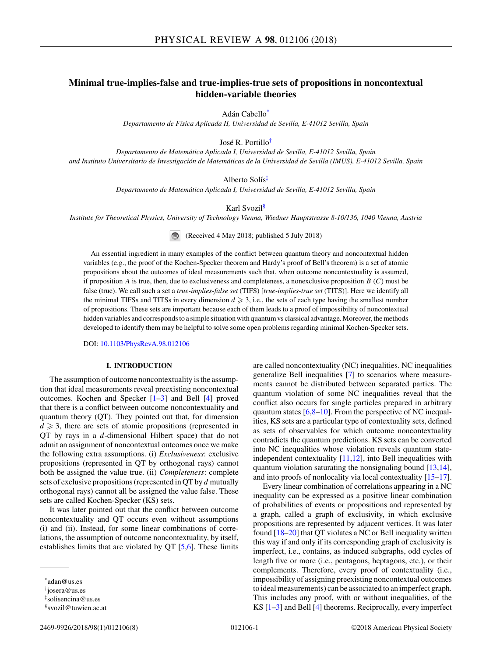# **Minimal true-implies-false and true-implies-true sets of propositions in noncontextual hidden-variable theories**

Adán Cabello\*

*Departamento de Física Aplicada II, Universidad de Sevilla, E-41012 Sevilla, Spain*

José R. Portillo†

*Departamento de Matemática Aplicada I, Universidad de Sevilla, E-41012 Sevilla, Spain and Instituto Universitario de Investigación de Matemáticas de la Universidad de Sevilla (IMUS), E-41012 Sevilla, Spain*

Alberto Solís‡

*Departamento de Matemática Aplicada I, Universidad de Sevilla, E-41012 Sevilla, Spain*

Karl Svozil<sup>§</sup>

*Institute for Theoretical Physics, University of Technology Vienna, Wiedner Hauptstrasse 8-10/136, 1040 Vienna, Austria*

(Received 4 May 2018; published 5 July 2018)

An essential ingredient in many examples of the conflict between quantum theory and noncontextual hidden variables (e.g., the proof of the Kochen-Specker theorem and Hardy's proof of Bell's theorem) is a set of atomic propositions about the outcomes of ideal measurements such that, when outcome noncontextuality is assumed, if proposition *A* is true, then, due to exclusiveness and completeness, a nonexclusive proposition *B* (*C*) must be false (true). We call such a set a *true-implies-false set* (TIFS) [*true-implies-true set* (TITS)]. Here we identify all the minimal TIFSs and TITSs in every dimension  $d \geqslant 3$ , i.e., the sets of each type having the smallest number of propositions. These sets are important because each of them leads to a proof of impossibility of noncontextual hidden variables and corresponds to a simple situation with quantum vs classical advantage. Moreover, the methods developed to identify them may be helpful to solve some open problems regarding minimal Kochen-Specker sets.

DOI: [10.1103/PhysRevA.98.012106](https://doi.org/10.1103/PhysRevA.98.012106)

# **I. INTRODUCTION**

The assumption of outcome noncontextuality is the assumption that ideal measurements reveal preexisting noncontextual outcomes. Kochen and Specker [\[1–3\]](#page-6-0) and Bell [\[4\]](#page-6-0) proved that there is a conflict between outcome noncontextuality and quantum theory (QT). They pointed out that, for dimension  $d \geqslant 3$ , there are sets of atomic propositions (represented in QT by rays in a *d*-dimensional Hilbert space) that do not admit an assignment of noncontextual outcomes once we make the following extra assumptions. (i) *Exclusiveness*: exclusive propositions (represented in QT by orthogonal rays) cannot both be assigned the value true. (ii) *Completeness*: complete sets of exclusive propositions (represented in QT by *d* mutually orthogonal rays) cannot all be assigned the value false. These sets are called Kochen-Specker (KS) sets.

It was later pointed out that the conflict between outcome noncontextuality and QT occurs even without assumptions (i) and (ii). Instead, for some linear combinations of correlations, the assumption of outcome noncontextuality, by itself, establishes limits that are violated by QT [\[5,6\]](#page-6-0). These limits

are called noncontextuality (NC) inequalities. NC inequalities generalize Bell inequalities [\[7\]](#page-6-0) to scenarios where measurements cannot be distributed between separated parties. The quantum violation of some NC inequalities reveal that the conflict also occurs for single particles prepared in arbitrary quantum states  $[6,8-10]$ . From the perspective of NC inequalities, KS sets are a particular type of contextuality sets, defined as sets of observables for which outcome noncontextuality contradicts the quantum predictions. KS sets can be converted into NC inequalities whose violation reveals quantum stateindependent contextuality [\[11,12\]](#page-6-0), into Bell inequalities with quantum violation saturating the nonsignaling bound [\[13,14\]](#page-6-0), and into proofs of nonlocality via local contextuality [\[15–17\]](#page-6-0).

Every linear combination of correlations appearing in a NC inequality can be expressed as a positive linear combination of probabilities of events or propositions and represented by a graph, called a graph of exclusivity, in which exclusive propositions are represented by adjacent vertices. It was later found [\[18–20\]](#page-6-0) that QT violates a NC or Bell inequality written this way if and only if its corresponding graph of exclusivity is imperfect, i.e., contains, as induced subgraphs, odd cycles of length five or more (i.e., pentagons, heptagons, etc.), or their complements. Therefore, every proof of contextuality (i.e., impossibility of assigning preexisting noncontextual outcomes to ideal measurements) can be associated to an imperfect graph. This includes any proof, with or without inequalities, of the KS [\[1–3\]](#page-6-0) and Bell [\[4\]](#page-6-0) theorems. Reciprocally, every imperfect

<sup>\*</sup>adan@us.es

<sup>†</sup> josera@us.es

<sup>‡</sup> solisencina@us.es

<sup>§</sup>svozil@tuwien.ac.at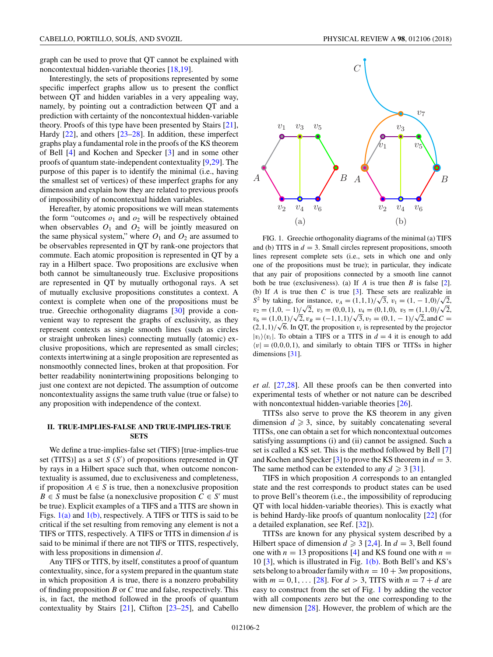<span id="page-1-0"></span>graph can be used to prove that QT cannot be explained with noncontextual hidden-variable theories [\[18,19\]](#page-6-0).

Interestingly, the sets of propositions represented by some specific imperfect graphs allow us to present the conflict between QT and hidden variables in a very appealing way, namely, by pointing out a contradiction between QT and a prediction with certainty of the noncontextual hidden-variable theory. Proofs of this type have been presented by Stairs [\[21\]](#page-7-0), Hardy [\[22\]](#page-7-0), and others [\[23–28\]](#page-7-0). In addition, these imperfect graphs play a fundamental role in the proofs of the KS theorem of Bell [\[4\]](#page-6-0) and Kochen and Specker [\[3\]](#page-6-0) and in some other proofs of quantum state-independent contextuality [\[9,](#page-6-0)[29\]](#page-7-0). The purpose of this paper is to identify the minimal (i.e., having the smallest set of vertices) of these imperfect graphs for any dimension and explain how they are related to previous proofs of impossibility of noncontextual hidden variables.

Hereafter, by atomic propositions we will mean statements the form "outcomes  $o_1$  and  $o_2$  will be respectively obtained when observables  $O_1$  and  $O_2$  will be jointly measured on the same physical system," where  $O_1$  and  $O_2$  are assumed to be observables represented in QT by rank-one projectors that commute. Each atomic proposition is represented in QT by a ray in a Hilbert space. Two propositions are exclusive when both cannot be simultaneously true. Exclusive propositions are represented in QT by mutually orthogonal rays. A set of mutually exclusive propositions constitutes a context. A context is complete when one of the propositions must be true. Greechie orthogonality diagrams [\[30\]](#page-7-0) provide a convenient way to represent the graphs of exclusivity, as they represent contexts as single smooth lines (such as circles or straight unbroken lines) connecting mutually (atomic) exclusive propositions, which are represented as small circles; contexts intertwining at a single proposition are represented as nonsmoothly connected lines, broken at that proposition. For better readability nonintertwining propositions belonging to just one context are not depicted. The assumption of outcome noncontextuality assigns the same truth value (true or false) to any proposition with independence of the context.

## **II. TRUE-IMPLIES-FALSE AND TRUE-IMPLIES-TRUE SETS**

We define a true-implies-false set (TIFS) [true-implies-true] set (TITS)] as a set  $S(S')$  of propositions represented in QT by rays in a Hilbert space such that, when outcome noncontextuality is assumed, due to exclusiveness and completeness, if proposition  $A \in S$  is true, then a nonexclusive proposition  $B \in S$  must be false (a nonexclusive proposition  $C \in S'$  must be true). Explicit examples of a TIFS and a TITS are shown in Figs.  $1(a)$  and  $1(b)$ , respectively. A TIFS or TITS is said to be critical if the set resulting from removing any element is not a TIFS or TITS, respectively. A TIFS or TITS in dimension *d* is said to be minimal if there are not TIFS or TITS, respectively, with less propositions in dimension *d*.

Any TIFS or TITS, by itself, constitutes a proof of quantum contextuality, since, for a system prepared in the quantum state in which proposition *A* is true, there is a nonzero probability of finding proposition *B* or *C* true and false, respectively. This is, in fact, the method followed in the proofs of quantum contextuality by Stairs [\[21\]](#page-7-0), Clifton [\[23–25\]](#page-7-0), and Cabello



FIG. 1. Greechie orthogonality diagrams of the minimal (a) TIFS and (b) TITS in  $d = 3$ . Small circles represent propositions, smooth lines represent complete sets (i.e., sets in which one and only one of the propositions must be true); in particular, they indicate that any pair of propositions connected by a smooth line cannot both be true (exclusiveness). (a) If *A* is true then *B* is false [\[2\]](#page-6-0). (b) If *A* is true then *C* is true [\[3\]](#page-6-0). These sets are realizable in (b) If *A* is true then *C* is true [3]. These sets are realizable in  $S^2$  by taking, for instance,  $v_A = (1,1,1)/\sqrt{3}$ ,  $v_1 = (1,-1,0)/\sqrt{2}$ ,  $v_2 = (1,0,-1)/\sqrt{2}, v_3 = (0,0,1), v_4 = (0,1,0), v_5 = (1,1,0)/\sqrt{2},$ <br>  $v_2 = (1,0,-1)/\sqrt{2}, v_3 = (0,0,1), v_4 = (0,1,0), v_5 = (1,1,0)/\sqrt{2}$  $v_2 = (1,0,-1)/\sqrt{2}, v_3 = (0,0,1), v_4 = (0,1,0), v_5 = (1,1,0)/\sqrt{2}, v_6 = (1,0,1)/\sqrt{2}, v_8 = (-1,1,1)/\sqrt{3}, v_7 = (0,1,-1)/\sqrt{2}, and C =$  $v_6 = (1,0,1)/\sqrt{2}$ ,  $v_B = (-1,1,1)/\sqrt{3}$ ,  $v_7 = (0,1,-1)/\sqrt{2}$ , and  $C = (2,1,1)/\sqrt{6}$ . In QT, the proposition  $v_i$  is represented by the projector  $|v_i\rangle\langle v_i|$ . To obtain a TIFS or a TITS in  $d = 4$  it is enough to add  $\langle v| = (0,0,0,1)$ , and similarly to obtain TIFS or TITSs in higher dimensions [\[31\]](#page-7-0).

*et al.* [\[27,28\]](#page-7-0). All these proofs can be then converted into experimental tests of whether or not nature can be described with noncontextual hidden-variable theories [\[26\]](#page-7-0).

TITSs also serve to prove the KS theorem in any given dimension  $d \geqslant 3$ , since, by suitably concatenating several TITSs, one can obtain a set for which noncontextual outcomes satisfying assumptions (i) and (ii) cannot be assigned. Such a set is called a KS set. This is the method followed by Bell [\[7\]](#page-6-0) and Kochen and Specker [\[3\]](#page-6-0) to prove the KS theorem in  $d = 3$ . The same method can be extended to any  $d \geq 3$  [\[31\]](#page-7-0).

TIFS in which proposition *A* corresponds to an entangled state and the rest corresponds to product states can be used to prove Bell's theorem (i.e., the impossibility of reproducing QT with local hidden-variable theories). This is exactly what is behind Hardy-like proofs of quantum nonlocality [\[22\]](#page-7-0) (for a detailed explanation, see Ref. [\[32\]](#page-7-0)).

TITSs are known for any physical system described by a Hilbert space of dimension  $d \geq 3$  [\[2,4\]](#page-6-0). In  $d = 3$ , Bell found one with  $n = 13$  propositions [\[4\]](#page-6-0) and KS found one with  $n =$ 10 [\[3\]](#page-6-0), which is illustrated in Fig. 1(b). Both Bell's and KS's sets belong to a broader family with  $n = 10 + 3m$  propositions, with  $m = 0, 1, \ldots$  [\[28\]](#page-7-0). For  $d > 3$ , TITS with  $n = 7 + d$  are easy to construct from the set of Fig. 1 by adding the vector with all components zero but the one corresponding to the new dimension [\[28\]](#page-7-0). However, the problem of which are the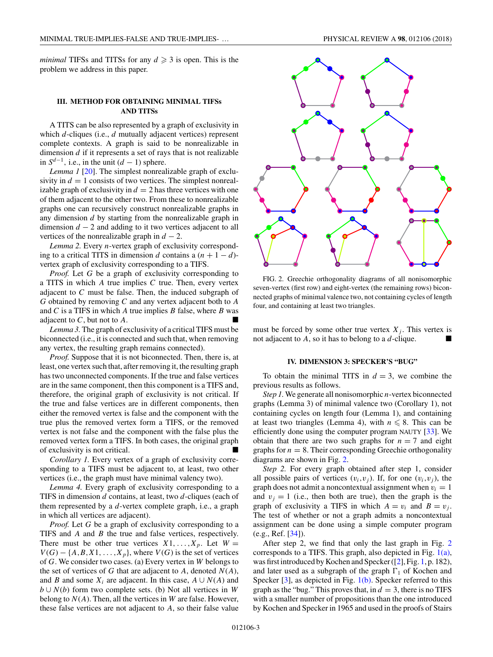*minimal* TIFSs and TITSs for any  $d \geq 3$  is open. This is the problem we address in this paper.

# **III. METHOD FOR OBTAINING MINIMAL TIFSs AND TITSs**

A TITS can be also represented by a graph of exclusivity in which *d*-cliques (i.e., *d* mutually adjacent vertices) represent complete contexts. A graph is said to be nonrealizable in dimension *d* if it represents a set of rays that is not realizable in  $S^{d-1}$ , i.e., in the unit  $(d-1)$  sphere.

*Lemma 1* [\[20\]](#page-6-0). The simplest nonrealizable graph of exclusivity in  $d = 1$  consists of two vertices. The simplest nonrealizable graph of exclusivity in  $d = 2$  has three vertices with one of them adjacent to the other two. From these to nonrealizable graphs one can recursively construct nonrealizable graphs in any dimension *d* by starting from the nonrealizable graph in dimension  $d - 2$  and adding to it two vertices adjacent to all vertices of the nonrealizable graph in  $d - 2$ .

*Lemma 2.* Every *n*-vertex graph of exclusivity corresponding to a critical TITS in dimension *d* contains a  $(n + 1 - d)$ vertex graph of exclusivity corresponding to a TIFS.

*Proof.* Let *G* be a graph of exclusivity corresponding to a TITS in which *A* true implies *C* true. Then, every vertex adjacent to *C* must be false. Then, the induced subgraph of *G* obtained by removing *C* and any vertex adjacent both to *A* and *C* is a TIFS in which *A* true implies *B* false, where *B* was adjacent to  $C$ , but not to  $A$ .

*Lemma 3.* The graph of exclusivity of a critical TIFS must be biconnected (i.e., it is connected and such that, when removing any vertex, the resulting graph remains connected).

*Proof.* Suppose that it is not biconnected. Then, there is, at least, one vertex such that, after removing it, the resulting graph has two unconnected components. If the true and false vertices are in the same component, then this component is a TIFS and, therefore, the original graph of exclusivity is not critical. If the true and false vertices are in different components, then either the removed vertex is false and the component with the true plus the removed vertex form a TIFS, or the removed vertex is not false and the component with the false plus the removed vertex form a TIFS. In both cases, the original graph of exclusivity is not critical. -

*Corollary 1.* Every vertex of a graph of exclusivity corresponding to a TIFS must be adjacent to, at least, two other vertices (i.e., the graph must have minimal valency two).

*Lemma 4.* Every graph of exclusivity corresponding to a TIFS in dimension *d* contains, at least, two *d*-cliques (each of them represented by a *d*-vertex complete graph, i.e., a graph in which all vertices are adjacent).

*Proof.* Let *G* be a graph of exclusivity corresponding to a TIFS and *A* and *B* the true and false vertices, respectively. There must be other true vertices  $X1, \ldots, X_p$ . Let  $W =$  $V(G) - \{A, B, X1, \ldots, X_p\}$ , where  $V(G)$  is the set of vertices of *G*. We consider two cases. (a) Every vertex in *W* belongs to the set of vertices of *G* that are adjacent to *A*, denoted  $N(A)$ , and *B* and some  $X_i$  are adjacent. In this case,  $A \cup N(A)$  and *b* ∪ *N*(*b*) form two complete sets. (b) Not all vertices in *W* belong to *N*(*A*). Then, all the vertices in *W* are false. However, these false vertices are not adjacent to *A*, so their false value



FIG. 2. Greechie orthogonality diagrams of all nonisomorphic seven-vertex (first row) and eight-vertex (the remaining rows) biconnected graphs of minimal valence two, not containing cycles of length four, and containing at least two triangles.

must be forced by some other true vertex  $X_i$ . This vertex is not adjacent to  $A$ , so it has to belong to a  $d$ -clique.

### **IV. DIMENSION 3: SPECKER'S "BUG"**

To obtain the minimal TITS in  $d = 3$ , we combine the previous results as follows.

*Step 1.*We generate all nonisomorphic *n*-vertex biconnected graphs (Lemma 3) of minimal valence two (Corollary 1), not containing cycles on length four (Lemma 1), and containing at least two triangles (Lemma 4), with  $n \leq 8$ . This can be efficiently done using the computer program NAUTY [\[33\]](#page-7-0). We obtain that there are two such graphs for  $n = 7$  and eight graphs for  $n = 8$ . Their corresponding Greechie orthogonality diagrams are shown in Fig. 2.

*Step 2.* For every graph obtained after step 1, consider all possible pairs of vertices  $(v_i, v_j)$ . If, for one  $(v_i, v_j)$ , the graph does not admit a noncontextual assignment when  $v_i = 1$ and  $v_i = 1$  (i.e., then both are true), then the graph is the graph of exclusivity a TIFS in which  $A = v_i$  and  $B = v_j$ . The test of whether or not a graph admits a noncontextual assignment can be done using a simple computer program (e.g., Ref. [\[34\]](#page-7-0)).

After step 2, we find that only the last graph in Fig. 2 corresponds to a TIFS. This graph, also depicted in Fig. [1\(a\),](#page-1-0) was first introduced by Kochen and Specker ([\[2\]](#page-6-0), Fig. [1,](#page-1-0) p. 182), and later used as a subgraph of the graph  $\Gamma_1$  of Kochen and Specker [\[3\]](#page-6-0), as depicted in Fig. [1\(b\).](#page-1-0) Specker referred to this graph as the "bug." This proves that, in  $d = 3$ , there is no TIFS with a smaller number of propositions than the one introduced by Kochen and Specker in 1965 and used in the proofs of Stairs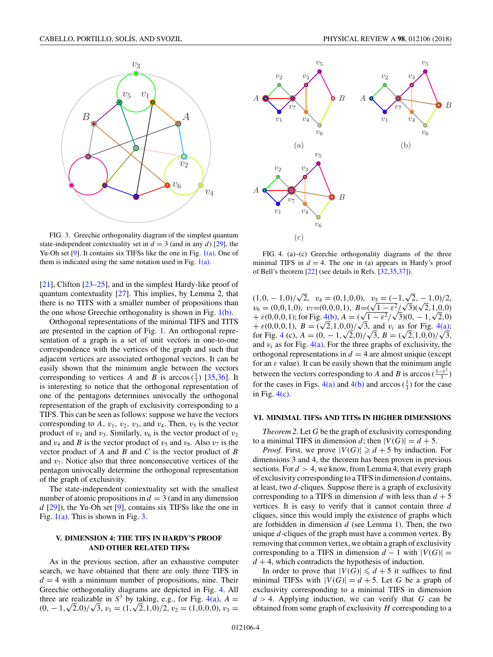

FIG. 3. Greechie orthogonality diagram of the simplest quantum state-independent contextuality set in  $d = 3$  (and in any *d*) [\[29\]](#page-7-0), the Yu-Oh set  $[9]$ . It contains six TIFSs like the one in Fig.  $1(a)$ . One of them is indicated using the same notation used in Fig.  $1(a)$ .

[\[21\]](#page-7-0), Clifton [\[23–25\]](#page-7-0), and in the simplest Hardy-like proof of quantum contextuality [\[27\]](#page-7-0). This implies, by Lemma 2, that there is no TITS with a smaller number of propositions than the one whose Greechie orthogonality is shown in Fig.  $1(b)$ .

Orthogonal representations of the minimal TIFS and TITS are presented in the caption of Fig. [1.](#page-1-0) An orthogonal representation of a graph is a set of unit vectors in one-to-one correspondence with the vertices of the graph and such that adjacent vertices are associated orthogonal vectors. It can be easily shown that the minimum angle between the vectors corresponding to vertices *A* and *B* is arccos  $(\frac{1}{3})$  [\[35,36\]](#page-7-0). It is interesting to notice that the orthogonal representation of one of the pentagons determines univocally the orthogonal representation of the graph of exclusivity corresponding to a TIFS. This can be seen as follows: suppose we have the vectors corresponding to  $A$ ,  $v_1$ ,  $v_2$ ,  $v_3$ , and  $v_4$ . Then,  $v_5$  is the vector product of  $v_1$  and  $v_3$ . Similarly,  $v_6$  is the vector product of  $v_2$ and  $v_4$  and *B* is the vector product of  $v_5$  and  $v_6$ . Also  $v_7$  is the vector product of *A* and *B* and *C* is the vector product of *B* and *v*7. Notice also that three nonconsecutive vertices of the pentagon univocally determine the orthogonal representation of the graph of exclusivity.

The state-independent contextuality set with the smallest number of atomic propositions in  $d = 3$  (and in any dimension *d* [\[29\]](#page-7-0)), the Yu-Oh set [\[9\]](#page-6-0), contains six TIFSs like the one in Fig.  $1(a)$ . This is shown in Fig. 3.

## **V. DIMENSION 4: THE TIFS IN HARDY'S PROOF AND OTHER RELATED TIFSs**

As in the previous section, after an exhaustive computer search, we have obtained that there are only three TIFS in  $d = 4$  with a minimum number of propositions, nine. Their Greechie orthogonality diagrams are depicted in Fig. 4. All three are realizable in  $S<sup>3</sup>$  by taking, e.g., for Fig. 4(a),  $A =$ three are realizable in S<sup>3</sup> by taking, e.g., for Fig. 4(a), *A* =  $(0, -1, \sqrt{2}, 0)/\sqrt{3}$ ,  $v_1 = (1, \sqrt{2}, 1, 0)/2$ ,  $v_2 = (1, 0, 0, 0)$ ,  $v_3 =$ 



FIG. 4. (a)–(c) Greechie orthogonality diagrams of the three minimal TIFS in  $d = 4$ . The one in (a) appears in Hardy's proof of Bell's theorem [\[22\]](#page-7-0) (see details in Refs. [\[32,35,37\]](#page-7-0)).

 $(v_1, 0, -1, 0) / \sqrt{2}, v_4 = (0, 1, 0, 0), v_5 = (-1, \sqrt{2}, -1, 0) / 2,$  $v_6 = (0,0,1,0), v_7 = (0,0,0,1), v_8 = (-1, \sqrt{2}, -1,0)/2,$ <br>  $v_6 = (0,0,1,0), v_7 = (0,0,0,1), B = (\sqrt{1 - \varepsilon^2}/\sqrt{3})(\sqrt{2},1,0,0)$  $v_6 = (0,0,1,0), v_7 = (0,0,0,1), B = (\sqrt{1 - \varepsilon^2}/\sqrt{3})(\sqrt{2},1,0,0)$ <br>+  $\varepsilon(0,0,0,1)$ ; for Fig. 4(b),  $A = (\sqrt{1 - \varepsilon^2}/\sqrt{3})(0, -1, \sqrt{2},0)$  $+ \varepsilon(0,0,0,1)$ ; for Fig. 4(b),  $A = (\sqrt{1 - \varepsilon^2}/\sqrt{3})(0, -1, \sqrt{2},0)$ <br>+  $\varepsilon(0,0,0,1)$ ,  $B = (\sqrt{2},1,0,0)/\sqrt{3}$ , and  $v_i$  as for Fig. 4(a);  $f(x) = \frac{f(0,0,0,1)}{B}$ ,  $B = \frac{\sqrt{2},1,0,0}{\sqrt{3}},$  and  $v_i$  as for Fig. 4(a);<br>for Fig. 4 (c),  $A = \frac{0, -1, \sqrt{2},0}{\sqrt{3}}, B = \frac{\sqrt{2},1,0,0}{\sqrt{3}}$ and  $v_i$  as for Fig.  $4(a)$ . For the three graphs of exclusivity, the orthogonal representations in  $d = 4$  are almost unique (except for an  $\varepsilon$  value). It can be easily shown that the minimum angle between the vectors corresponding to *A* and *B* is arccos  $(\frac{1-e^2}{3})$ for the cases in Figs.  $4(a)$  and  $4(b)$  and arccos  $(\frac{1}{3})$  for the case in Fig.  $4(c)$ .

#### **VI. MINIMAL TIFSs AND TITSs IN HIGHER DIMENSIONS**

*Theorem 2.* Let *G* be the graph of exclusivity corresponding to a minimal TIFS in dimension *d*; then  $|V(G)| = d + 5$ .

*Proof.* First, we prove  $|V(G)| \ge d + 5$  by induction. For dimensions 3 and 4, the theorem has been proven in previous sections. For *d >* 4, we know, from Lemma 4, that every graph of exclusivity corresponding to a TIFS in dimension *d* contains, at least, two *d*-cliques. Suppose there is a graph of exclusivity corresponding to a TIFS in dimension *d* with less than  $d + 5$ vertices. It is easy to verify that it cannot contain three *d* cliques, since this would imply the existence of graphs which are forbidden in dimension *d* (see Lemma 1). Then, the two unique *d*-cliques of the graph must have a common vertex. By removing that common vertex, we obtain a graph of exclusivity corresponding to a TIFS in dimension  $d - 1$  with  $|V(G)| =$  $d + 4$ , which contradicts the hypothesis of induction.

In order to prove that  $|V(G)| \le d + 5$  it suffices to find minimal TIFSs with  $|V(G)| = d + 5$ . Let *G* be a graph of exclusivity corresponding to a minimal TIFS in dimension  $d > 4$ . Applying induction, we can verify that *G* can be obtained from some graph of exclusivity *H* corresponding to a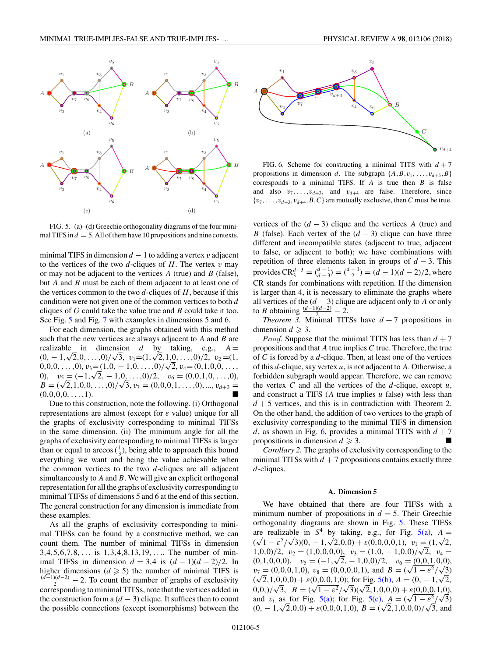<span id="page-4-0"></span>

FIG. 5. (a)–(d) Greechie orthogonality diagrams of the four minimal TIFS in  $d = 5$ . All of them have 10 propositions and nine contexts.

minimal TIFS in dimension  $d - 1$  to adding a vertex  $v$  adjacent to the vertices of the two *d*-cliques of *H*. The vertex *v* may or may not be adjacent to the vertices *A* (true) and *B* (false), but *A* and *B* must be each of them adjacent to at least one of the vertices common to the two *d*-cliques of *H*, because if this condition were not given one of the common vertices to both *d* cliques of *G* could take the value true and *B* could take it too. See Fig. 5 and Fig. [7](#page-5-0) with examples in dimensions 5 and 6.

For each dimension, the graphs obtained with this method such that the new vertices are always adjacent to *A* and *B* are realizable in dimension  $d$  by taking, e.g.,  $A =$ realizable in dimension *d* by taking, e.g.,  $A = (0, -1, \sqrt{2}, 0, \ldots, 0) / \sqrt{3}, v_1 = (1, \sqrt{2}, 1, 0, \ldots, 0) / 2, v_2 = (1, 0, \ldots, 0)$  $v_1 = (1, \sqrt{2}, 1, 0, \ldots, 0) / \sqrt{3}, v_1 = (1, \sqrt{2}, 1, 0, \ldots, 0) / 2, v_2 = (1, 0, 0, 0, \ldots, 0), v_3 = (1, 0, -1, 0, \ldots, 0) / \sqrt{2}, v_4 = (0, 1, 0, 0, \ldots, 0)$ 0,0,0,...,0),  $v_3 = (1, 0, -1, 0, \ldots, 0)/\sqrt{2}$ ,  $v_4 = (0, 1, 0, 0, \ldots, 0)$ ,<br>0),  $v_5 = (-1, \sqrt{2}, -1, 0, \ldots, 0)/2$ ,  $v_6 = (0, 0, 1, 0, \ldots, 0)$ , *B* =  $(\sqrt{2}, 1, 0, 0, \ldots, 0)/\sqrt{3}$ , *v<sub>1</sub>* =  $(0, 0, 1, 0, \ldots, 0, 0, \ldots, 0)$ <br> *B* =  $(\sqrt{2}, 1, 0, 0, \ldots, 0)/\sqrt{3}$ , *v<sub>7</sub>* =  $(0, 0, 0, 1, \ldots, 0, \ldots, v_{d+3}$  $(0,0,0,0,\ldots,1).$ 

Due to this construction, note the following. (i) Orthogonal representations are almost (except for *ε* value) unique for all the graphs of exclusivity corresponding to minimal TIFSs in the same dimension. (ii) The minimum angle for all the graphs of exclusivity corresponding to minimal TIFSs is larger than or equal to arccos  $(\frac{1}{3})$ , being able to approach this bound everything we want and being the value achievable when the common vertices to the two *d*-cliques are all adjacent simultaneously to *A* and *B*. We will give an explicit orthogonal representation for all the graphs of exclusivity corresponding to minimal TIFSs of dimensions 5 and 6 at the end of this section. The general construction for any dimension is immediate from these examples.

As all the graphs of exclusivity corresponding to minimal TIFSs can be found by a constructive method, we can count them. The number of minimal TIFSs in dimension 3*,*4*,*5*,*6*,*7*,*8*,...* is 1*,*3*,*4*,*8*,*13*,*19*,...*. The number of minimal TIFSs in dimension  $d = 3.4$  is  $(d - 1)(d - 2)/2$ . In higher dimensions  $(d \ge 5)$  the number of minimal TIFS is (*d*−1)(*d*−2) <sup>2</sup> − 2. To count the number of graphs of exclusivity corresponding to minimal TITSs, note that the vertices added in the construction form a  $(d-3)$  clique. It suffices then to count the possible connections (except isomorphisms) between the



FIG. 6. Scheme for constructing a minimal TITS with  $d + 7$ propositions in dimension *d*. The subgraph  $\{A, B, v_1, \ldots, v_{d+5}, B\}$ corresponds to a minimal TIFS. If *A* is true then *B* is false and also  $v_7, \ldots, v_{d+3}$ , and  $v_{d+4}$  are false. Therefore, since  $\{v_7, \ldots, v_{d+3}, v_{d+4}, B, C\}$  are mutually exclusive, then *C* must be true.

vertices of the  $(d - 3)$  clique and the vertices *A* (true) and *B* (false). Each vertex of the  $(d − 3)$  clique can have three different and incompatible states (adjacent to true, adjacent to false, or adjacent to both); we have combinations with repetition of three elements taken in groups of  $d - 3$ . This provides  $CR_3^{d-3} = \binom{d-1}{d-3} = \binom{d-1}{2} = (d-1)(d-2)/2$ , where CR stands for combinations with repetition. If the dimension is larger than 4, it is necessary to eliminate the graphs where all vertices of the  $(d - 3)$  clique are adjacent only to *A* or only to *B* obtaining  $\frac{(d-1)(d-2)}{2}$  – 2.

*Theorem 3.* Minimal TITSs have  $d + 7$  propositions in dimension  $d \geqslant 3$ .

*Proof.* Suppose that the minimal TITS has less than  $d + 7$ propositions and that *A* true implies *C* true. Therefore, the true of *C* is forced by a *d*-clique. Then, at least one of the vertices of this *d*-clique, say vertex *u*, is not adjacent to *A*. Otherwise, a forbidden subgraph would appear. Therefore, we can remove the vertex *C* and all the vertices of the *d*-clique, except *u*, and construct a TIFS (*A* true implies *u* false) with less than  $d + 5$  vertices, and this is in contradiction with Theorem 2. On the other hand, the addition of two vertices to the graph of exclusivity corresponding to the minimal TIFS in dimension *d*, as shown in Fig. 6, provides a minimal TITS with  $d + 7$ propositions in dimension  $d \ge 3$ .

*Corollary 2.* The graphs of exclusivity corresponding to the minimal TITSs with  $d + 7$  propositions contains exactly three *d*-cliques.

#### **A. Dimension 5**

We have obtained that there are four TIFSs with a minimum number of propositions in  $d = 5$ . Their Greechie orthogonality diagrams are shown in Fig. 5. These TIFSs are realizable in  $S^4$  by taking, e.g., for Fig.  $5(a)$ ,  $A =$  $((\sqrt{1 - \varepsilon^2}/\sqrt{3})(0, -1, \sqrt{2}, 0, 0) + \varepsilon(0, 0, 0, 0, 1), v_1 = (1, \sqrt{2}, 0, 0, 0, 0, 0, 0, 0))$  $(1 - \varepsilon^2/\sqrt{3})(0, -1, \sqrt{2}, 0, 0) + \varepsilon(0, 0, 0, 0, 1), v_1 = (1, \sqrt{2}, 1, 0, 0)/2, v_2 = (1, 0, 0, 0, 0), v_3 = (1, 0, -1, 0, 0)/\sqrt{2}, v_4 =$  $v_1$ ,0,0)/2,  $v_2$  = (1,0,0,0,0),  $v_3$  = (1,0, - 1,0,0)/ $\sqrt{2}$ ,  $v_4$  = (0,1,0,0),  $v_5$  = (-1, $\sqrt{2}$ , - 1,0,0)/2,  $v_6$  = <u>(0,0,1,0,0)</u>,  $v_7 = (0,0,0,1,0), v_8 = (-1,\sqrt{2}, -1,0,0)/2, v_6 = (0,0,1,0,0),$ <br>  $v_7 = (0,0,0,1,0), v_8 = (0,0,0,0,1),$  and  $B = (\sqrt{1 - \varepsilon^2}/\sqrt{3})$  $v_7 = (0,0,0,1,0), v_8 = (0,0,0,0,1),$  and  $B = (\sqrt{1 - \varepsilon^2}/\sqrt{3})$ <br>  $(\sqrt{2}, 1, 0, 0, 0) + \varepsilon(0,0,0,1,0)$ ; for Fig. 5(b),  $A = (0, -1, \sqrt{2})$ ,  $\mathcal{O}(0,0,1)/\sqrt{3}$ ,  $B = (\sqrt{1-\varepsilon^2}/\sqrt{3})(\sqrt{2},1,0,0,0) + \varepsilon(0,0,0,1,0)$  $(0,0,1/\sqrt{3}, B = (\sqrt{1-\epsilon^2/\sqrt{3}})(\sqrt{2},1,0,0,0) + \epsilon(0,0,0,1,0),$ <br>and  $v_i$  as for Fig. 5(a); for Fig. 5(c),  $A = (\sqrt{1-\epsilon^2/\sqrt{3}})$ and  $v_i$  as for Fig. 5(a); for Fig. 5(c),  $A = (\sqrt{1 - \varepsilon^2}/\sqrt{3})$ <br>  $(0, -1, \sqrt{2}, 0, 0) + \varepsilon(0, 0, 0, 1, 0), B = (\sqrt{2}, 1, 0, 0, 0) / \sqrt{3}$ , and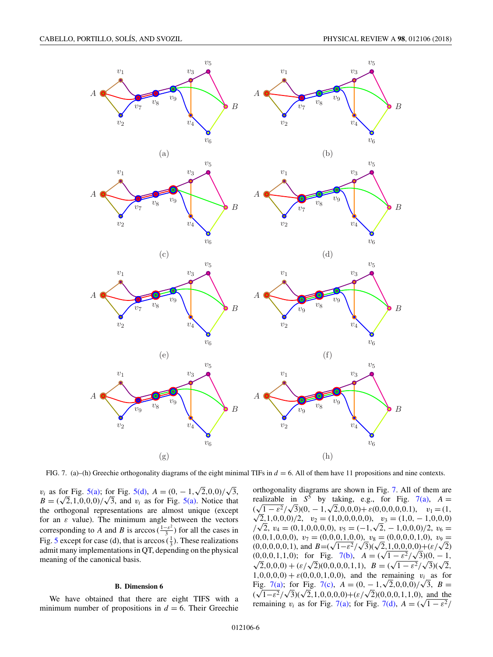<span id="page-5-0"></span>

FIG. 7. (a)–(h) Greechie orthogonality diagrams of the eight minimal TIFs in *d* = 6. All of them have 11 propositions and nine contexts.

*v<sub>i</sub>* as for Fig. [5\(a\);](#page-4-0) for Fig. [5\(d\),](#page-4-0)  $A = (0, -1, \sqrt{2}, 0, 0) / \sqrt{3}$ , *v<sub>i</sub>* as for Fig. 5(a); for Fig. 5(d),  $A = (0, -1, \sqrt{2}, 0, 0) / \sqrt{3}$ ,  $B = (\sqrt{2}, 1, 0, 0, 0) / \sqrt{3}$ , and *v<sub>i</sub>* as for Fig. [5\(a\).](#page-4-0) Notice that the orthogonal representations are almost unique (except for an *ε* value). The minimum angle between the vectors corresponding to *A* and *B* is arccos ( $\frac{1-e^2}{3}$ ) for all the cases in Fig. [5](#page-4-0) except for case (d), that is arccos ( $\frac{1}{3}$ ). These realizations admit many implementations in QT, depending on the physical meaning of the canonical basis.

#### **B. Dimension 6**

We have obtained that there are eight TIFS with a minimum number of propositions in  $d = 6$ . Their Greechie orthogonality diagrams are shown in Fig. 7. All of them are realizable in  $S^5$  by taking, e.g., for Fig. 7(a),  $A =$ realizable in S<sup>o</sup> by taking, e.g., for Fig. (a),  $A = (\sqrt{1 - \varepsilon^2}/\sqrt{3})(0, -1, \sqrt{2}, 0, 0, 0) + \varepsilon(0, 0, 0, 0, 0, 1), v_1 = (1,$  $\sqrt{2}$ ,1,0,0,0)/2,  $v_2 = (1,0,0,0,0,0)$ ,  $v_3 = (1,0,-1,0,0,0)$  $\sqrt{2}$ , *v*<sub>4</sub> = (0,1,0,0,0,0), *v*<sub>5</sub> = (-1, $\sqrt{2}$ , -1,0,0,0)/2, *v*<sub>6</sub> = (-1,0,0,0)  $(0,0,1,0,0,0), v_7 = (0,0,0,1,0,0), v_8 = (0,0,0,0,1,0), v_9 =$  $v_0(0,0,1,0,0,0)$ ,  $v_7 = (0,0,0,1,0,0)$ ,  $v_8 = (0,0,0,0,1,0)$ ,  $v_9 = (0,0,0,0,0,1)$ , and  $B = (\sqrt{1-\varepsilon^2}/\sqrt{3})(\sqrt{2},1,0,0,0,0) + (\varepsilon/\sqrt{2})$ (0,0,0,0,0,1), and  $B = (\sqrt{1 - \varepsilon^2}/\sqrt{3})(\sqrt{2}, 1, 0, 0, 0, 0, 0, 0, 0, 0, 0, 0, 1, 1, 0)$ ; for Fig. 7(b),  $A = (\sqrt{1 - \varepsilon^2}/\sqrt{3})$ (0,0,0,1,1,0); for Fig. 7(b),  $A = (\sqrt{1 - \varepsilon^2/\sqrt{3}})(0, -1,$  $Z$ ,0,0,1,1,0); for Fig. (b),  $A = (\sqrt{1 - \varepsilon^2/\sqrt{3}})(0, -1,$ <br> $Z$ ,0,0,0) +  $(\varepsilon/\sqrt{2})(0,0,0,0,1,1)$ ,  $B = (\sqrt{1 - \varepsilon^2/\sqrt{3}})(\sqrt{2},$  $1,0,0,0,0) + \varepsilon(0,0,0,1,0,0)$ , and the remaining  $v_i$  as for Fig. 7(a); for Fig. 7(c),  $A = (0, -1, \sqrt{2}, 0, 0, 0) / \sqrt{3}$ ,  $B =$  $\frac{\text{Fig. } (1, 2)}{(\sqrt{1-\varepsilon^2}/\sqrt{3})(\sqrt{2}, 1, 0, 0, 0, 0)} + \frac{\varepsilon}{\varepsilon}$  / $\frac{\sqrt{2}}{0, 0, 0, 1, 1, 0}$ , and the  $(\sqrt{1-\epsilon^2}/\sqrt{3})(\sqrt{2},1,0,0,0,0)+(\epsilon/\sqrt{2})(0,0,0,1,1,0)$ , and the remaining  $v_i$  as for Fig. 7(a); for Fig. 7(d),  $A = (\sqrt{1-\epsilon^2}/\sqrt{3})$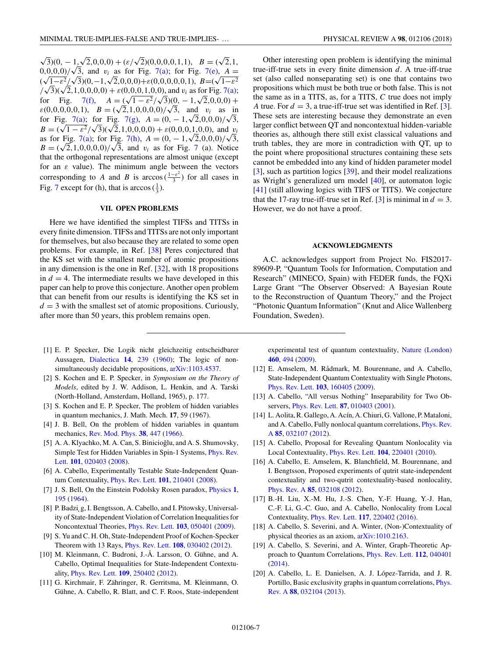<span id="page-6-0"></span> $\sqrt{3}(0, -1, \sqrt{2}, 0, 0, 0) + (\varepsilon/\sqrt{2})(0, 0, 0, 0, 1, 1), \quad B = (\sqrt{2}, 1,$  $\sqrt{3}(0, -1, \sqrt{2}, 0, 0, 0) + (\varepsilon/\sqrt{2})(0, 0, 0, 0, 1, 1), B = (\sqrt{2}, 1, 0, 0, 0, 0)/\sqrt{3}$ , and  $v_i$  as for Fig. [7\(a\);](#page-5-0) for Fig. [7\(e\),](#page-5-0)  $A =$  $(\sqrt{1-\epsilon^2}/\sqrt{3})(0,-1,\sqrt{2},0,0,0)+\epsilon(0,0,0,0,0,1), B=(\sqrt{1-\epsilon^2}/\sqrt{3})$  $\sqrt{(1-\varepsilon^2)}\sqrt{(3)}$  (0,-1, $\sqrt{(2,1,0,0,0)}$ ) +  $\varepsilon$ (0,0,0,1,0,0), and *v<sub>i</sub>* as for Fig. [7\(a\);](#page-5-0)  $f(\sqrt{2}, 1, 0, 0, 0, 0) + \varepsilon(0, 0, 0, 1, 0, 0)$ , and  $v_i$  as for Fig. (a);<br>for Fig. [7\(f\),](#page-5-0)  $A = (\sqrt{1 - \varepsilon^2}/\sqrt{3})(0, -1, \sqrt{2}, 0, 0, 0) +$ *ε*(0*,*0*,*0*,*0*,*0*,*), *B* = ( $\sqrt{2}$ *,*1*,*0*,*0*,*0*,*0*)*/ $\sqrt{3}$ , and *v<sub>i</sub>* as in for Fig. [7\(a\);](#page-5-0) for Fig. [7\(g\),](#page-5-0)  $A = (0, -1, \sqrt{2}, 0, 0, 0) / \sqrt{3}$ , for Fig. 7(a); for Fig. 7(g),  $A = (0, -1, \sqrt{2}, 0, 0, 0) / \sqrt{3}$ ,  $B = (\sqrt{1 - \varepsilon^2}/\sqrt{3})(\sqrt{2}, 1, 0, 0, 0, 0) + \varepsilon(0, 0, 0, 1, 0, 0)$ , and  $v_i$  $B = (\sqrt{1 - \varepsilon^2/\sqrt{3}})(\sqrt{2}, 1, 0, 0, 0, 0) + \varepsilon(0, 0, 0, 1, 0, 0)$ , and  $v_i$ <br>as for Fig. [7\(a\);](#page-5-0) for Fig. [7\(h\),](#page-5-0)  $A = (0, -1, \sqrt{2}, 0, 0, 0)/\sqrt{3}$ , as for Fig.  $/(a)$ ; for Fig.  $/(h)$ ,  $A = (0, -1, \sqrt{2}, 0, 0, 0) / \sqrt{3}$ ,  $B = (\sqrt{2}, 1, 0, 0, 0, 0) / \sqrt{3}$ , and  $v_i$  as for Fig. [7](#page-5-0) (a). Notice that the orthogonal representations are almost unique (except for an  $\varepsilon$  value). The minimum angle between the vectors corresponding to *A* and *B* is arccos  $(\frac{1-\varepsilon^2}{3})$  for all cases in Fig. [7](#page-5-0) except for (h), that is arccos  $(\frac{1}{3})$ .

# **VII. OPEN PROBLEMS**

Here we have identified the simplest TIFSs and TITSs in every finite dimension. TIFSs and TITSs are not only important for themselves, but also because they are related to some open problems. For example, in Ref. [\[38\]](#page-7-0) Peres conjectured that the KS set with the smallest number of atomic propositions in any dimension is the one in Ref. [\[32\]](#page-7-0), with 18 propositions in  $d = 4$ . The intermediate results we have developed in this paper can help to prove this conjecture. Another open problem that can benefit from our results is identifying the KS set in  $d = 3$  with the smallest set of atomic propositions. Curiously, after more than 50 years, this problem remains open.

Other interesting open problem is identifying the minimal true-iff-true sets in every finite dimension *d*. A true-iff-true set (also called nonseparating set) is one that contains two propositions which must be both true or both false. This is not the same as in a TITS, as, for a TITS, *C* true does not imply *A* true. For  $d = 3$ , a true-iff-true set was identified in Ref. [3]. These sets are interesting because they demonstrate an even larger conflict between QT and noncontextual hidden-variable theories as, although there still exist classical valuations and truth tables, they are more in contradiction with QT, up to the point where propositional structures containing these sets cannot be embedded into any kind of hidden parameter model [3], such as partition logics [\[39\]](#page-7-0), and their model realizations as Wright's generalized urn model [\[40\]](#page-7-0), or automaton logic [\[41\]](#page-7-0) (still allowing logics with TIFS or TITS). We conjecture that the 17-ray true-iff-true set in Ref. [3] is minimal in  $d = 3$ . However, we do not have a proof.

# **ACKNOWLEDGMENTS**

A.C. acknowledges support from Project No. FIS2017- 89609-P, "Quantum Tools for Information, Computation and Research" (MINECO, Spain) with FEDER funds, the FQXi Large Grant "The Observer Observed: A Bayesian Route to the Reconstruction of Quantum Theory," and the Project "Photonic Quantum Information" (Knut and Alice Wallenberg Foundation, Sweden).

- [1] E. P. Specker, Die Logik nicht gleichzeitig entscheidbarer Aussagen, [Dialectica](https://doi.org/10.1111/j.1746-8361.1960.tb00422.x) **[14](https://doi.org/10.1111/j.1746-8361.1960.tb00422.x)**, [239](https://doi.org/10.1111/j.1746-8361.1960.tb00422.x) [\(1960\)](https://doi.org/10.1111/j.1746-8361.1960.tb00422.x); The logic of nonsimultaneously decidable propositions, [arXiv:1103.4537.](http://arxiv.org/abs/arXiv:1103.4537)
- [2] S. Kochen and E. P. Specker, in *Symposium on the Theory of Models*, edited by J. W. Addison, L. Henkin, and A. Tarski (North-Holland, Amsterdam, Holland, 1965), p. 177.
- [3] S. Kochen and E. P. Specker, The problem of hidden variables in quantum mechanics, J. Math. Mech. **17**, 59 (1967).
- [4] J. B. Bell, On the problem of hidden variables in quantum mechanics, [Rev. Mod. Phys.](https://doi.org/10.1103/RevModPhys.38.447) **[38](https://doi.org/10.1103/RevModPhys.38.447)**, [447](https://doi.org/10.1103/RevModPhys.38.447) [\(1966\)](https://doi.org/10.1103/RevModPhys.38.447).
- [5] A. A. Klyachko, M. A. Can, S. Binicioğlu, and A. S. Shumovsky, [Simple Test for Hidden Variables in Spin-1 Systems,](https://doi.org/10.1103/PhysRevLett.101.020403) Phys. Rev. Lett. **[101](https://doi.org/10.1103/PhysRevLett.101.020403)**, [020403](https://doi.org/10.1103/PhysRevLett.101.020403) [\(2008\)](https://doi.org/10.1103/PhysRevLett.101.020403).
- [6] A. Cabello, Experimentally Testable State-Independent Quantum Contextuality, [Phys. Rev. Lett.](https://doi.org/10.1103/PhysRevLett.101.210401) **[101](https://doi.org/10.1103/PhysRevLett.101.210401)**, [210401](https://doi.org/10.1103/PhysRevLett.101.210401) [\(2008\)](https://doi.org/10.1103/PhysRevLett.101.210401).
- [7] J. S. Bell, On the Einstein Podolsky Rosen paradox, [Physics](https://doi.org/10.1103/PhysicsPhysiqueFizika.1.195) **[1](https://doi.org/10.1103/PhysicsPhysiqueFizika.1.195)**, [195](https://doi.org/10.1103/PhysicsPhysiqueFizika.1.195) [\(1964\)](https://doi.org/10.1103/PhysicsPhysiqueFizika.1.195).
- [8] P. Badzi, g, I. Bengtsson, A. Cabello, and I. Pitowsky, Universality of State-Independent Violation of Correlation Inequalities for Noncontextual Theories, [Phys. Rev. Lett.](https://doi.org/10.1103/PhysRevLett.103.050401) **[103](https://doi.org/10.1103/PhysRevLett.103.050401)**, [050401](https://doi.org/10.1103/PhysRevLett.103.050401) [\(2009\)](https://doi.org/10.1103/PhysRevLett.103.050401).
- [9] S. Yu and C. H. Oh, State-Independent Proof of Kochen-Specker Theorem with 13 Rays, [Phys. Rev. Lett.](https://doi.org/10.1103/PhysRevLett.108.030402) **[108](https://doi.org/10.1103/PhysRevLett.108.030402)**, [030402](https://doi.org/10.1103/PhysRevLett.108.030402) [\(2012\)](https://doi.org/10.1103/PhysRevLett.108.030402).
- [10] M. Kleinmann, C. Budroni, J.-Å. Larsson, O. Gühne, and A. Cabello, Optimal Inequalities for State-Independent Contextuality, [Phys. Rev. Lett.](https://doi.org/10.1103/PhysRevLett.109.250402) **[109](https://doi.org/10.1103/PhysRevLett.109.250402)**, [250402](https://doi.org/10.1103/PhysRevLett.109.250402) [\(2012\)](https://doi.org/10.1103/PhysRevLett.109.250402).
- [11] G. Kirchmair, F. Zähringer, R. Gerritsma, M. Kleinmann, O. Gühne, A. Cabello, R. Blatt, and C. F. Roos, State-independent

experimental test of quantum contextuality, [Nature \(London\)](https://doi.org/10.1038/nature08172) **[460](https://doi.org/10.1038/nature08172)**, [494](https://doi.org/10.1038/nature08172) [\(2009\)](https://doi.org/10.1038/nature08172).

- [12] E. Amselem, M. Rådmark, M. Bourennane, and A. Cabello, State-Independent Quantum Contextuality with Single Photons, [Phys. Rev. Lett.](https://doi.org/10.1103/PhysRevLett.103.160405) **[103](https://doi.org/10.1103/PhysRevLett.103.160405)**, [160405](https://doi.org/10.1103/PhysRevLett.103.160405) [\(2009\)](https://doi.org/10.1103/PhysRevLett.103.160405).
- [13] A. Cabello, "All versus Nothing" Inseparability for Two Observers, [Phys. Rev. Lett.](https://doi.org/10.1103/PhysRevLett.87.010403) **[87](https://doi.org/10.1103/PhysRevLett.87.010403)**, [010403](https://doi.org/10.1103/PhysRevLett.87.010403) [\(2001\)](https://doi.org/10.1103/PhysRevLett.87.010403).
- [14] L. Aolita, R. Gallego, A. Acín, A. Chiuri, G. Vallone, P. Mataloni, [and A. Cabello, Fully nonlocal quantum correlations,](https://doi.org/10.1103/PhysRevA.85.032107) Phys. Rev. A **[85](https://doi.org/10.1103/PhysRevA.85.032107)**, [032107](https://doi.org/10.1103/PhysRevA.85.032107) [\(2012\)](https://doi.org/10.1103/PhysRevA.85.032107).
- [15] A. Cabello, Proposal for Revealing Quantum Nonlocality via Local Contextuality, [Phys. Rev. Lett.](https://doi.org/10.1103/PhysRevLett.104.220401) **[104](https://doi.org/10.1103/PhysRevLett.104.220401)**, [220401](https://doi.org/10.1103/PhysRevLett.104.220401) [\(2010\)](https://doi.org/10.1103/PhysRevLett.104.220401).
- [16] A. Cabello, E. Amselem, K. Blanchfield, M. Bourennane, and I. Bengtsson, Proposed experiments of qutrit state-independent contextuality and two-qutrit contextuality-based nonlocality, [Phys. Rev. A](https://doi.org/10.1103/PhysRevA.85.032108) **[85](https://doi.org/10.1103/PhysRevA.85.032108)**, [032108](https://doi.org/10.1103/PhysRevA.85.032108) [\(2012\)](https://doi.org/10.1103/PhysRevA.85.032108).
- [17] B.-H. Liu, X.-M. Hu, J.-S. Chen, Y.-F. Huang, Y.-J. Han, C.-F. Li, G.-C. Guo, and A. Cabello, Nonlocality from Local Contextuality, [Phys. Rev. Lett.](https://doi.org/10.1103/PhysRevLett.117.220402) **[117](https://doi.org/10.1103/PhysRevLett.117.220402)**, [220402](https://doi.org/10.1103/PhysRevLett.117.220402) [\(2016\)](https://doi.org/10.1103/PhysRevLett.117.220402).
- [18] A. Cabello, S. Severini, and A. Winter, (Non-)Contextuality of physical theories as an axiom, [arXiv:1010.2163.](http://arxiv.org/abs/arXiv:1010.2163)
- [19] A. Cabello, S. Severini, and A. Winter, Graph-Theoretic Approach to Quantum Correlations, [Phys. Rev. Lett.](https://doi.org/10.1103/PhysRevLett.112.040401) **[112](https://doi.org/10.1103/PhysRevLett.112.040401)**, [040401](https://doi.org/10.1103/PhysRevLett.112.040401) [\(2014\)](https://doi.org/10.1103/PhysRevLett.112.040401).
- [20] A. Cabello, L. E. Danielsen, A. J. López-Tarrida, and J. R. [Portillo, Basic exclusivity graphs in quantum correlations,](https://doi.org/10.1103/PhysRevA.88.032104) Phys. Rev. A **[88](https://doi.org/10.1103/PhysRevA.88.032104)**, [032104](https://doi.org/10.1103/PhysRevA.88.032104) [\(2013\)](https://doi.org/10.1103/PhysRevA.88.032104).